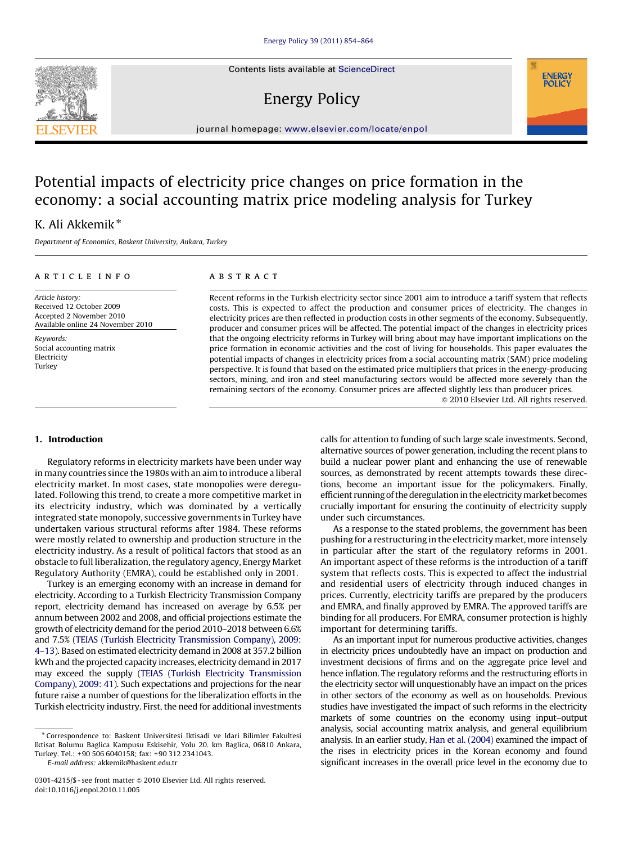Contents lists available at ScienceDirect

## Energy Policy



### Potential impacts of electricity price changes on price formation in the economy: a social accounting matrix price modeling analysis for Turkey

### K. Ali Akkemik<sup>\*</sup>

Department of Economics, Baskent University, Ankara, Turkey

#### article info

Article history: Received 12 October 2009 Accepted 2 November 2010 Available online 24 November 2010

Keywords: Social accounting matrix Electricity Turkey

#### **ABSTRACT**

Recent reforms in the Turkish electricity sector since 2001 aim to introduce a tariff system that reflects costs. This is expected to affect the production and consumer prices of electricity. The changes in electricity prices are then reflected in production costs in other segments of the economy. Subsequently, producer and consumer prices will be affected. The potential impact of the changes in electricity prices that the ongoing electricity reforms in Turkey will bring about may have important implications on the price formation in economic activities and the cost of living for households. This paper evaluates the potential impacts of changes in electricity prices from a social accounting matrix (SAM) price modeling perspective. It is found that based on the estimated price multipliers that prices in the energy-producing sectors, mining, and iron and steel manufacturing sectors would be affected more severely than the remaining sectors of the economy. Consumer prices are affected slightly less than producer prices.

 $\odot$  2010 Elsevier Ltd. All rights reserved.

**ENERGY POLICY** 

#### 1. Introduction

Regulatory reforms in electricity markets have been under way in many countries since the 1980s with an aim to introduce a liberal electricity market. In most cases, state monopolies were deregulated. Following this trend, to create a more competitive market in its electricity industry, which was dominated by a vertically integrated state monopoly, successive governments in Turkey have undertaken various structural reforms after 1984. These reforms were mostly related to ownership and production structure in the electricity industry. As a result of political factors that stood as an obstacle to full liberalization, the regulatory agency, Energy Market Regulatory Authority (EMRA), could be established only in 2001.

Turkey is an emerging economy with an increase in demand for electricity. According to a Turkish Electricity Transmission Company report, electricity demand has increased on average by 6.5% per annum between 2002 and 2008, and official projections estimate the growth of electricity demand for the period 2010–2018 between 6.6% and 7.5% [\(TEIAS \(Turkish Electricity Transmission Company\), 2009:](#page--1-0) [4–13](#page--1-0)). Based on estimated electricity demand in 2008 at 357.2 billion kWh and the projected capacity increases, electricity demand in 2017 may exceed the supply [\(TEIAS \(Turkish Electricity Transmission](#page--1-0) [Company\), 2009: 41](#page--1-0)). Such expectations and projections for the near future raise a number of questions for the liberalization efforts in the Turkish electricity industry. First, the need for additional investments calls for attention to funding of such large scale investments. Second, alternative sources of power generation, including the recent plans to build a nuclear power plant and enhancing the use of renewable sources, as demonstrated by recent attempts towards these directions, become an important issue for the policymakers. Finally, efficient running of the deregulation in the electricitymarket becomes crucially important for ensuring the continuity of electricity supply under such circumstances.

As a response to the stated problems, the government has been pushing for a restructuring in the electricity market, more intensely in particular after the start of the regulatory reforms in 2001. An important aspect of these reforms is the introduction of a tariff system that reflects costs. This is expected to affect the industrial and residential users of electricity through induced changes in prices. Currently, electricity tariffs are prepared by the producers and EMRA, and finally approved by EMRA. The approved tariffs are binding for all producers. For EMRA, consumer protection is highly important for determining tariffs.

As an important input for numerous productive activities, changes in electricity prices undoubtedly have an impact on production and investment decisions of firms and on the aggregate price level and hence inflation. The regulatory reforms and the restructuring efforts in the electricity sector will unquestionably have an impact on the prices in other sectors of the economy as well as on households. Previous studies have investigated the impact of such reforms in the electricity markets of some countries on the economy using input–output analysis, social accounting matrix analysis, and general equilibrium analysis. In an earlier study, [Han et al. \(2004\)](#page--1-0) examined the impact of the rises in electricity prices in the Korean economy and found significant increases in the overall price level in the economy due to



<sup>n</sup> Correspondence to: Baskent Universitesi Iktisadi ve Idari Bilimler Fakultesi Iktisat Bolumu Baglica Kampusu Eskisehir, Yolu 20. km Baglica, 06810 Ankara, Turkey. Tel.: +90 506 6040158; fax: +90 312 2341043.

E-mail address: [akkemik@baskent.edu.tr](mailto:akkemik@baskent.edu.tr)

<sup>0301-4215/\$ -</sup> see front matter @ 2010 Elsevier Ltd. All rights reserved. doi:[10.1016/j.enpol.2010.11.005](dx.doi.org/10.1016/j.enpol.2010.11.005)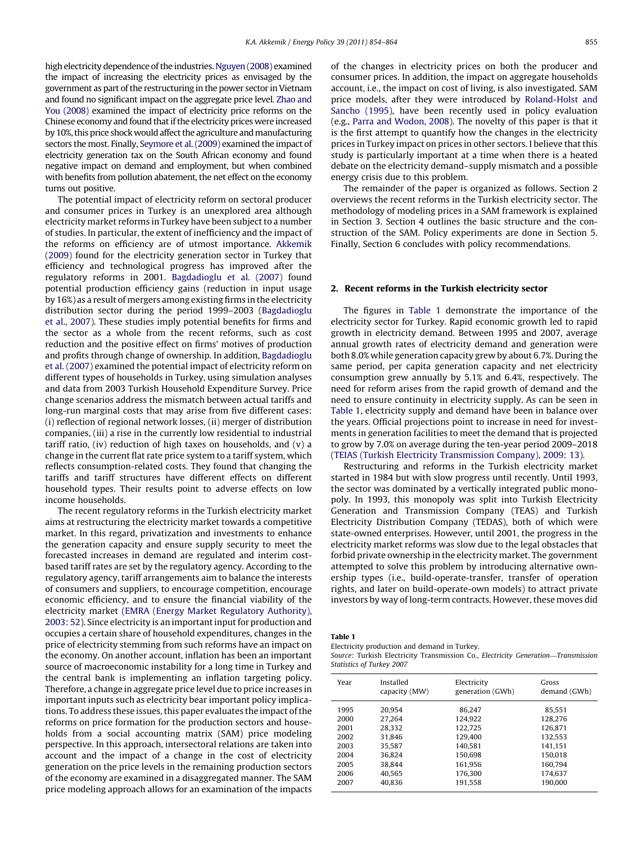high electricity dependence of the industries. [Nguyen \(2008\)](#page--1-0) examined the impact of increasing the electricity prices as envisaged by the government as part of the restructuring in the power sector in Vietnam and found no significant impact on the aggregate price level. [Zhao and](#page--1-0) [You \(2008\)](#page--1-0) examined the impact of electricity price reforms on the Chinese economy and found that if the electricity prices were increased by 10%, this price shock would affect the agriculture and manufacturing sectors the most. Finally, [Seymore et al. \(2009\)](#page--1-0) examined the impact of electricity generation tax on the South African economy and found negative impact on demand and employment, but when combined with benefits from pollution abatement, the net effect on the economy turns out positive.

The potential impact of electricity reform on sectoral producer and consumer prices in Turkey is an unexplored area although electricity market reforms in Turkey have been subject to a number of studies. In particular, the extent of inefficiency and the impact of the reforms on efficiency are of utmost importance. [Akkemik](#page--1-0) [\(2009\)](#page--1-0) found for the electricity generation sector in Turkey that efficiency and technological progress has improved after the regulatory reforms in 2001. [Bagdadioglu et al. \(2007\)](#page--1-0) found potential production efficiency gains (reduction in input usage by 16%) as a result of mergers among existing firms in the electricity distribution sector during the period 1999–2003 ([Bagdadioglu](#page--1-0) [et al., 2007](#page--1-0)). These studies imply potential benefits for firms and the sector as a whole from the recent reforms, such as cost reduction and the positive effect on firms' motives of production and profits through change of ownership. In addition, [Bagdadioglu](#page--1-0) [et al. \(2007\)](#page--1-0) examined the potential impact of electricity reform on different types of households in Turkey, using simulation analyses and data from 2003 Turkish Household Expenditure Survey. Price change scenarios address the mismatch between actual tariffs and long-run marginal costs that may arise from five different cases: (i) reflection of regional network losses, (ii) merger of distribution companies, (iii) a rise in the currently low residential to industrial tariff ratio, (iv) reduction of high taxes on households, and (v) a change in the current flat rate price system to a tariff system, which reflects consumption-related costs. They found that changing the tariffs and tariff structures have different effects on different household types. Their results point to adverse effects on low income households.

The recent regulatory reforms in the Turkish electricity market aims at restructuring the electricity market towards a competitive market. In this regard, privatization and investments to enhance the generation capacity and ensure supply security to meet the forecasted increases in demand are regulated and interim costbased tariff rates are set by the regulatory agency. According to the regulatory agency, tariff arrangements aim to balance the interests of consumers and suppliers, to encourage competition, encourage economic efficiency, and to ensure the financial viability of the electricity market ([EMRA \(Energy Market Regulatory Authority\),](#page--1-0) [2003: 52\)](#page--1-0). Since electricity is an important input for production and occupies a certain share of household expenditures, changes in the price of electricity stemming from such reforms have an impact on the economy. On another account, inflation has been an important source of macroeconomic instability for a long time in Turkey and the central bank is implementing an inflation targeting policy. Therefore, a change in aggregate price level due to price increases in important inputs such as electricity bear important policy implications. To address these issues, this paper evaluates the impact of the reforms on price formation for the production sectors and households from a social accounting matrix (SAM) price modeling perspective. In this approach, intersectoral relations are taken into account and the impact of a change in the cost of electricity generation on the price levels in the remaining production sectors of the economy are examined in a disaggregated manner. The SAM price modeling approach allows for an examination of the impacts of the changes in electricity prices on both the producer and consumer prices. In addition, the impact on aggregate households account, i.e., the impact on cost of living, is also investigated. SAM price models, after they were introduced by [Roland-Holst and](#page--1-0) [Sancho \(1995\)](#page--1-0), have been recently used in policy evaluation (e.g., [Parra and Wodon, 2008\)](#page--1-0). The novelty of this paper is that it is the first attempt to quantify how the changes in the electricity prices in Turkey impact on prices in other sectors. I believe that this study is particularly important at a time when there is a heated debate on the electricity demand–supply mismatch and a possible energy crisis due to this problem.

The remainder of the paper is organized as follows. Section 2 overviews the recent reforms in the Turkish electricity sector. The methodology of modeling prices in a SAM framework is explained in Section 3. Section 4 outlines the basic structure and the construction of the SAM. Policy experiments are done in Section 5. Finally, Section 6 concludes with policy recommendations.

#### 2. Recent reforms in the Turkish electricity sector

The figures in Table 1 demonstrate the importance of the electricity sector for Turkey. Rapid economic growth led to rapid growth in electricity demand. Between 1995 and 2007, average annual growth rates of electricity demand and generation were both 8.0% while generation capacity grew by about 6.7%. During the same period, per capita generation capacity and net electricity consumption grew annually by 5.1% and 6.4%, respectively. The need for reform arises from the rapid growth of demand and the need to ensure continuity in electricity supply. As can be seen in Table 1, electricity supply and demand have been in balance over the years. Official projections point to increase in need for investments in generation facilities to meet the demand that is projected to grow by 7.0% on average during the ten-year period 2009–2018 ([TEIAS \(Turkish Electricity Transmission Company\), 2009: 13\)](#page--1-0).

Restructuring and reforms in the Turkish electricity market started in 1984 but with slow progress until recently. Until 1993, the sector was dominated by a vertically integrated public monopoly. In 1993, this monopoly was split into Turkish Electricity Generation and Transmission Company (TEAS) and Turkish Electricity Distribution Company (TEDAS), both of which were state-owned enterprises. However, until 2001, the progress in the electricity market reforms was slow due to the legal obstacles that forbid private ownership in the electricity market. The government attempted to solve this problem by introducing alternative ownership types (i.e., build-operate-transfer, transfer of operation rights, and later on build-operate-own models) to attract private investors by way of long-term contracts. However, these moves did

Table 1

Electricity production and demand in Turkey.

Source: Turkish Electricity Transmission Co., Electricity Generation—Transmission Statistics of Turkey 2007

| Year | Installed<br>capacity (MW) | Electricity<br>generation (GWh) | Gross<br>demand (GWh) |
|------|----------------------------|---------------------------------|-----------------------|
| 1995 | 20.954                     | 86.247                          | 85.551                |
| 2000 | 27.264                     | 124.922                         | 128.276               |
| 2001 | 28.332                     | 122,725                         | 126.871               |
| 2002 | 31,846                     | 129,400                         | 132.553               |
| 2003 | 35.587                     | 140.581                         | 141.151               |
| 2004 | 36.824                     | 150.698                         | 150.018               |
| 2005 | 38.844                     | 161.956                         | 160.794               |
| 2006 | 40.565                     | 176.300                         | 174.637               |
| 2007 | 40.836                     | 191.558                         | 190.000               |
|      |                            |                                 |                       |